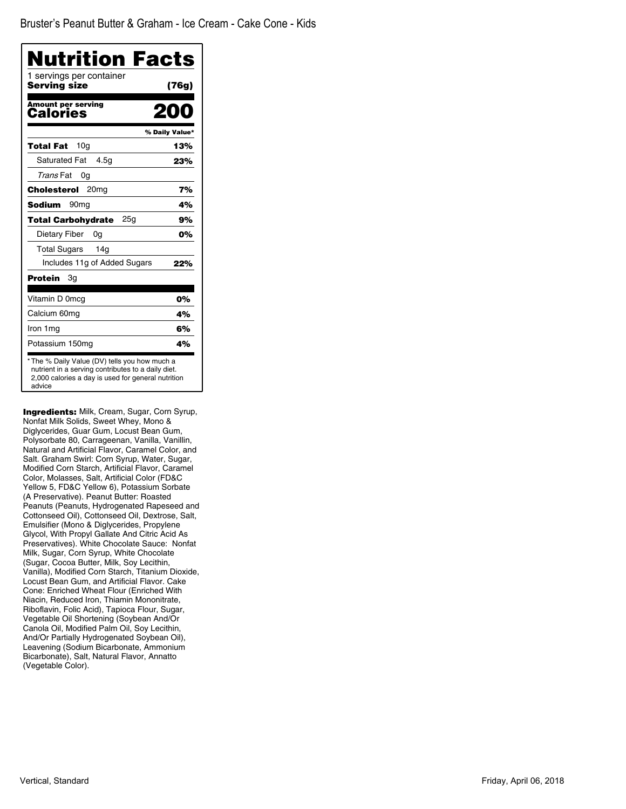| Nutrition Facts                              |                |
|----------------------------------------------|----------------|
| 1 servings per container<br>Serving size     | (76g)          |
| <b>Amount per serving</b><br>Calories        | 200            |
|                                              | % Daily Value* |
| 10 <sub>g</sub><br>Total Fat                 | 13%            |
| Saturated Fat<br>4.5q                        | 23%            |
| Trans Fat<br>0g                              |                |
| Cholesterol<br>20 <sub>mg</sub>              | 7%             |
| <b>Sodium</b><br>90 <sub>mq</sub>            | 4%             |
| 25 <sub>q</sub><br><b>Total Carbohydrate</b> | 9%             |
| Dietary Fiber<br>0g                          | 0%             |
| 14 <sub>q</sub><br><b>Total Sugars</b>       |                |
| Includes 11g of Added Sugars                 | 22%            |
| Protein<br>Зg                                |                |
| Vitamin D 0mcg                               | 0%             |
| Calcium 60mg                                 | 4%             |
| Iron 1mg                                     | 6%             |
| Potassium 150mg                              | 4%             |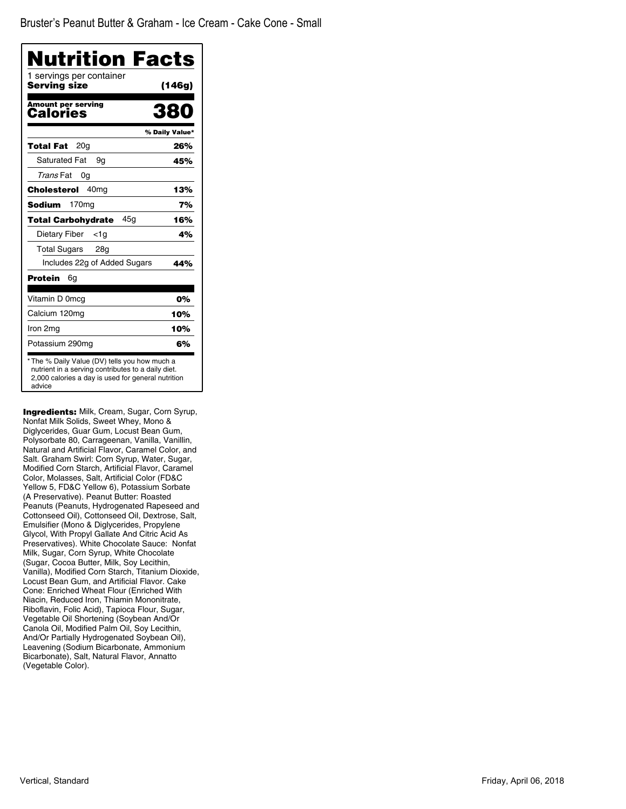| Nutrition Facts                          |                |
|------------------------------------------|----------------|
| 1 servings per container<br>Serving size | (146g)         |
| <b>Amount per serving</b><br>Calories    | 38             |
|                                          | % Daily Value* |
| 20 <sub>g</sub><br>Total Fat             | 26%            |
| <b>Saturated Fat</b><br>9g               | 45%            |
| Trans Fat<br>0g                          |                |
| 40 <sub>mq</sub><br>Cholesterol          | 13%            |
| 170 <sub>mg</sub><br>Sodium              | 7%             |
| 45a<br><b>Total Carbohydrate</b>         | 16%            |
| Dietary Fiber<br><1a                     | 4%             |
| <b>Total Sugars</b><br>28g               |                |
| Includes 22g of Added Sugars             | 44%            |
| Protein<br>6g                            |                |
| Vitamin D 0mcg                           | 0%             |
| Calcium 120mg                            | 10%            |
| Iron 2mg                                 | 10%            |
| Potassium 290mg                          | 6%             |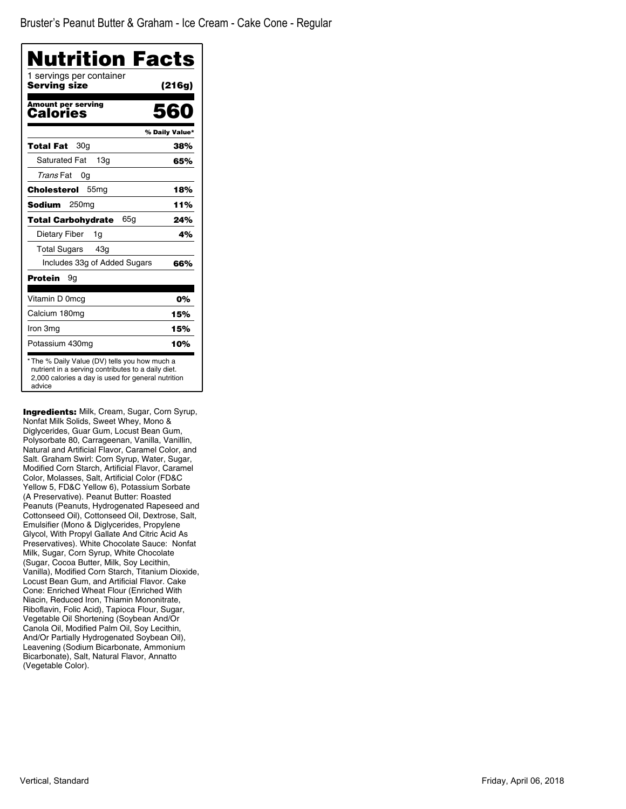| Nutrition Facts                          |                |
|------------------------------------------|----------------|
| 1 servings per container<br>Serving size | (216g)         |
| Amount per serving<br>Calories           | 560            |
|                                          | % Daily Value* |
| 30g<br>Total Fat                         | 38%            |
| <b>Saturated Fat</b><br>13 <sub>q</sub>  | 65%            |
| Trans Fat<br>0g                          |                |
| Cholesterol<br>55 <sub>mg</sub>          | 18%            |
| Sodium<br>250 <sub>mq</sub>              | 11%            |
| 65g<br><b>Total Carbohydrate</b>         | 24%            |
| Dietary Fiber<br>1g                      | 4%             |
| <b>Total Sugars</b><br>43q               |                |
| Includes 33g of Added Sugars             | 66%            |
| Protein<br>9g                            |                |
| Vitamin D 0mcg                           | 0%             |
| Calcium 180mg                            | 15%            |
| Iron 3mg                                 | 15%            |
| Potassium 430mg                          | 10%            |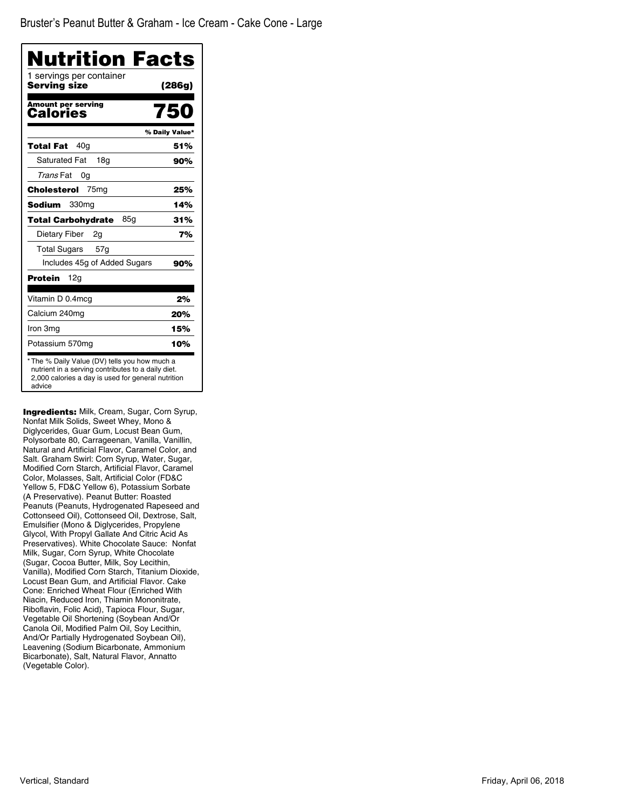| <b>Nutrition Facts</b><br>1 servings per container |                |
|----------------------------------------------------|----------------|
| Serving size                                       | (286g)         |
| <b>Amount per serving</b><br>Calories              | 750            |
|                                                    | % Daily Value* |
| 40a<br>Total Fat                                   | 51%            |
| <b>Saturated Fat</b><br>18a                        | 90%            |
| Trans Fat<br>0g                                    |                |
| Cholesterol<br>75 <sub>mg</sub>                    | 25%            |
| Sodium<br>330 <sub>mg</sub>                        | 14%            |
| 85g<br><b>Total Carbohydrate</b>                   | 31%            |
| Dietary Fiber<br>2g                                | 7%             |
| Total Sugars<br>57 <sub>g</sub>                    |                |
| Includes 45g of Added Sugars                       | 90%            |
| 12a<br>Protein                                     |                |
| Vitamin D 0.4mcg                                   | 2%             |
| Calcium 240mg                                      | 20%            |
| Iron 3mg                                           | 15%            |
| Potassium 570mg                                    | 10%            |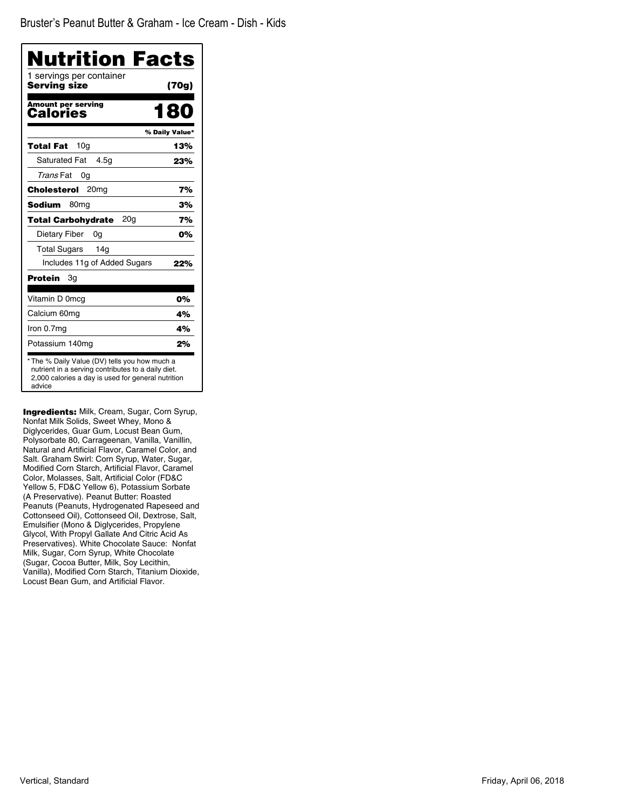| Nutrition Facts                              |                |
|----------------------------------------------|----------------|
| 1 servings per container<br>Serving size     | (70g)          |
| Amount per serving<br>Calories               | 180            |
|                                              | % Daily Value* |
| 10 <sub>q</sub><br>Total Fat                 | 13%            |
| <b>Saturated Fat</b><br>4.5q                 | 23%            |
| Trans Fat<br>0g                              |                |
| 20mg<br>Cholesterol                          | 7%             |
| <b>Sodium</b><br>80 <sub>mq</sub>            | 3%             |
| 20 <sub>g</sub><br><b>Total Carbohydrate</b> | 7%             |
| Dietary Fiber<br>0g                          | 0%             |
| <b>Total Sugars</b><br>14 <sub>g</sub>       |                |
| Includes 11g of Added Sugars                 | 22%            |
| Protein<br>Зg                                |                |
| Vitamin D 0mcg                               | 0%             |
| Calcium 60mg                                 | 4%             |
| Iron 0.7mg                                   | 4%             |
| Potassium 140mg                              | 2%             |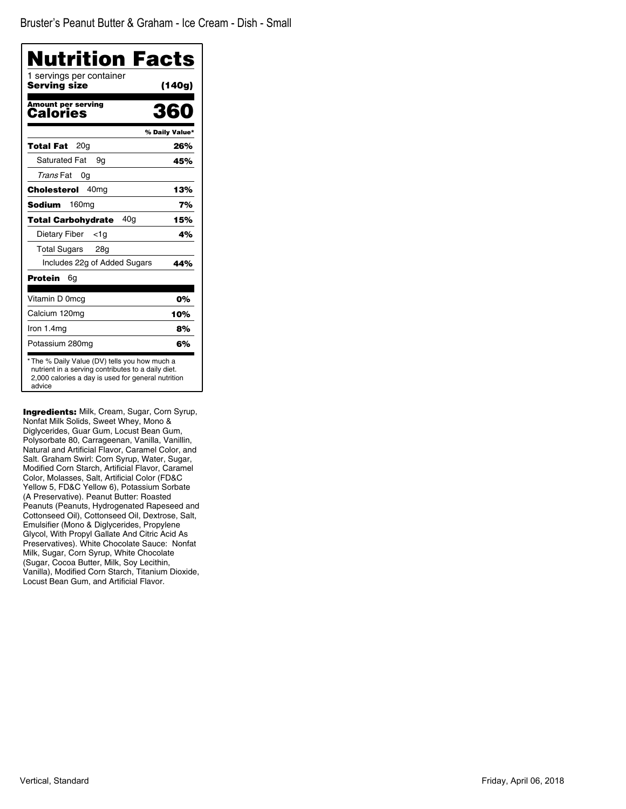| Nutrition Facts<br>1 servings per container  |                |
|----------------------------------------------|----------------|
| Serving size                                 | (140g)         |
| <b>Amount per serving</b><br>Calories        | 360            |
|                                              | % Daily Value* |
| 20a<br>Total Fat                             | 26%            |
| <b>Saturated Fat</b><br>9g                   | 45%            |
| Trans Fat<br>0g                              |                |
| Cholesterol<br>40 <sub>mg</sub>              | 13%            |
| 160 <sub>mg</sub><br>Sodium                  | 7%             |
| 40 <sub>q</sub><br><b>Total Carbohvdrate</b> | 15%            |
| Dietary Fiber<br><1a                         | 4%             |
| Total Sugars<br>28g                          |                |
| Includes 22g of Added Sugars                 | 44%            |
| Protein<br>6g                                |                |
| Vitamin D 0mcg                               | 0%             |
| Calcium 120mg                                | 10%            |
| Iron 1.4mg                                   | 8%             |
| Potassium 280mg                              | 6%             |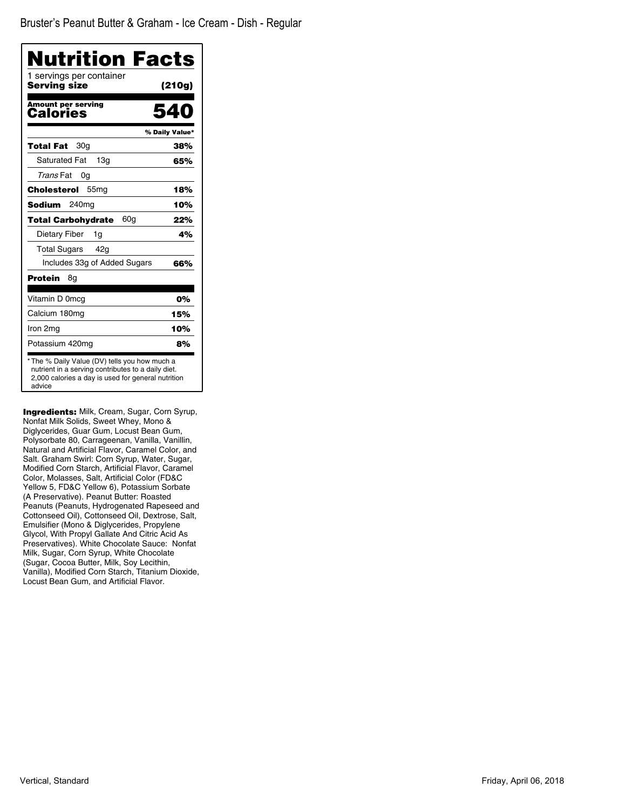| Nutrition Facts<br>1 servings per container  |                |
|----------------------------------------------|----------------|
| Serving size                                 | (210g)         |
| <b>Amount per serving</b><br>Calories        |                |
|                                              | % Daily Value* |
| 30g<br>Total Fat                             | 38%            |
| <b>Saturated Fat</b><br>13 <sub>q</sub>      | 65%            |
| Trans Fat<br>0g                              |                |
| Cholesterol<br>55 <sub>mg</sub>              | 18%            |
| 240 <sub>mg</sub><br>Sodium                  | 10%            |
| 60 <sub>q</sub><br><b>Total Carbohydrate</b> | 22%            |
| Dietary Fiber<br>1g                          | 4%             |
| <b>Total Sugars</b><br>42a                   |                |
| Includes 33g of Added Sugars                 | 66%            |
| Protein<br>8g                                |                |
| Vitamin D 0mcg                               | 0%             |
| Calcium 180mg                                | 15%            |
| Iron 2mg                                     | 10%            |
| Potassium 420mg                              | 8%             |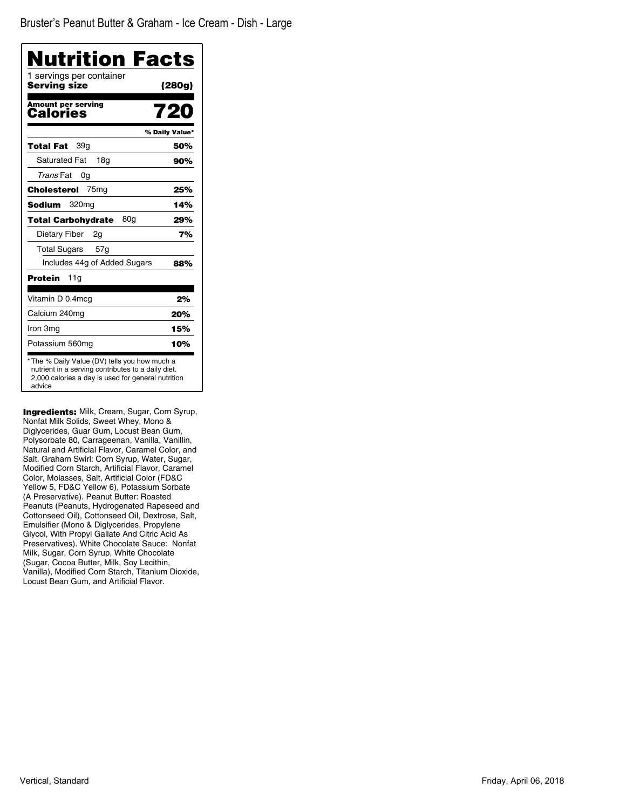| Nutrition Facts                          |                |
|------------------------------------------|----------------|
| 1 servings per container<br>Serving size | (280g)         |
| <b>Amount per serving</b><br>Calories    | 720            |
|                                          | % Daily Value* |
| 39q<br>Total Fat                         | 50%            |
| Saturated Fat<br>18a                     | 90%            |
| Trans Fat<br>0g                          |                |
| Cholesterol<br>75 <sub>mg</sub>          | 25%            |
| <b>Sodium</b><br>320 <sub>mq</sub>       | 14%            |
| 80g<br><b>Total Carbohydrate</b>         | 29%            |
| Dietary Fiber<br>2g                      | 7%             |
| Total Sugars 57g                         |                |
| Includes 44g of Added Sugars             | 88%            |
| Protein<br>11g                           |                |
| Vitamin D 0.4mcg                         | 2%             |
| Calcium 240mq                            | 20%            |
| Iron 3mg                                 | 15%            |
| Potassium 560mg                          | 10%            |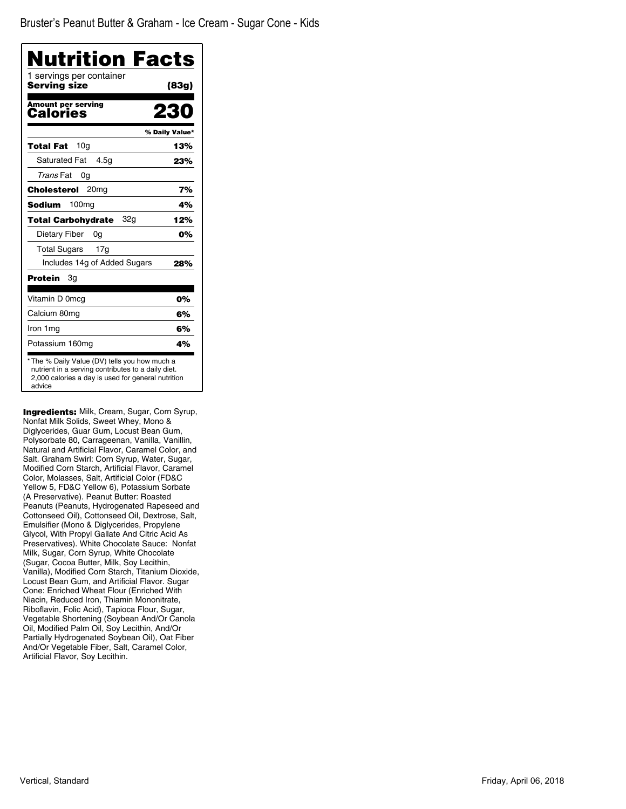| Nutrition Facts                          |                |
|------------------------------------------|----------------|
| 1 servings per container<br>Serving size | (83g)          |
| Amount per serving<br>Calories           |                |
|                                          | % Daily Value* |
| 10 <sub>q</sub><br>Total Fat             | 13%            |
| <b>Saturated Fat</b><br>4.5q             | 23%            |
| Trans Fat<br>0g                          |                |
| Cholesterol<br>20 <sub>mg</sub>          | 7%             |
| 100 <sub>mg</sub><br>Sodium              | 4%             |
| 32a<br>Total Carbohydrate                | 12%            |
| Dietary Fiber<br>0g                      | 0%             |
| <b>Total Sugars</b><br>17g               |                |
| Includes 14g of Added Sugars             | 28%            |
| Protein<br>Зg                            |                |
| Vitamin D 0mcg                           | 0%             |
| Calcium 80mg                             | 6%             |
| Iron 1mg                                 | 6%             |
| Potassium 160mg                          | 4%             |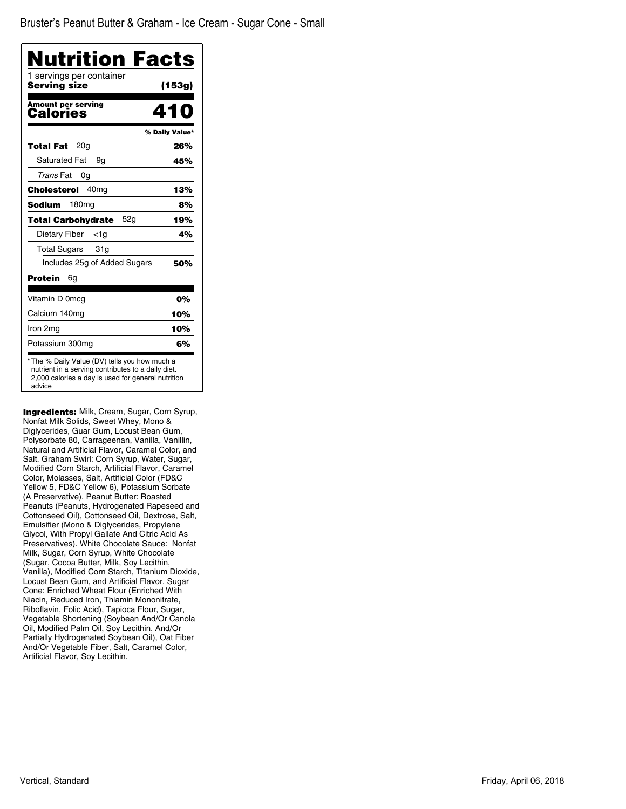| Nutrition Facts<br>1 servings per container |                |
|---------------------------------------------|----------------|
| Serving size                                | (153g)         |
| <b>Amount per serving</b><br>Calories       | 410            |
|                                             | % Daily Value* |
| 20g<br>Total Fat                            | 26%            |
| <b>Saturated Fat</b><br>9g                  | 45%            |
| Trans Fat<br>0g                             |                |
| 40 <sub>mq</sub><br>Cholesterol             | 13%            |
| Sodium<br>180mg                             | 8%             |
| <b>Total Carbohydrate</b><br>52a            | 19%            |
| Dietary Fiber<br>$<$ 1g                     | 4%             |
| <b>Total Sugars</b><br>31g                  |                |
| Includes 25g of Added Sugars                | 50%            |
| Protein<br>6g                               |                |
| Vitamin D 0mcg                              | 0%             |
| Calcium 140mg                               | 10%            |
| Iron 2mg                                    | 10%            |
| Potassium 300mg                             | 6%             |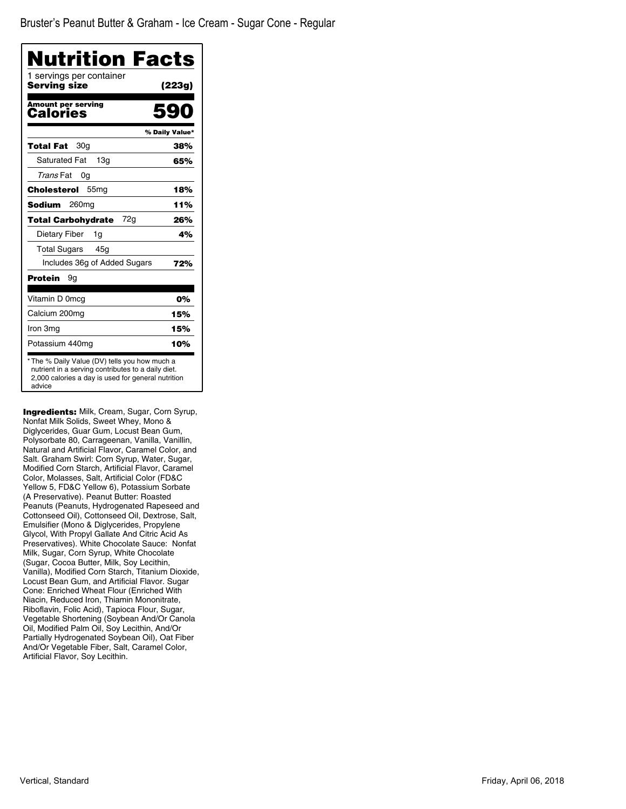| Nutrition Facts                          |                |
|------------------------------------------|----------------|
| 1 servings per container<br>Serving size | (223g)         |
| <b>Amount per serving</b><br>Calories    |                |
|                                          | % Daily Value* |
| 30g<br>Total Fat                         | 38%            |
| <b>Saturated Fat</b><br>13q              | 65%            |
| Trans Fat<br>0g                          |                |
| Cholesterol<br>55 <sub>mg</sub>          | 18%            |
| Sodium<br>260mg                          | 11%            |
| 72g<br><b>Total Carbohydrate</b>         | 26%            |
| Dietary Fiber<br>1g                      | 4%             |
| <b>Total Sugars</b><br>45g               |                |
| Includes 36g of Added Sugars             | 72%            |
| Protein<br>9g                            |                |
| Vitamin D 0mcg                           | 0%             |
| Calcium 200mg                            | 15%            |
| Iron 3mg                                 | 15%            |
| Potassium 440mg                          | 10%            |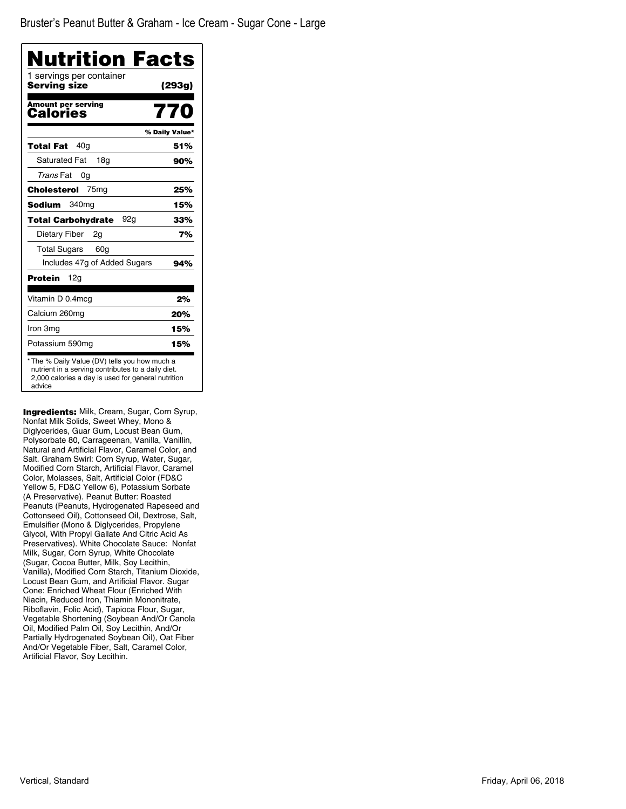| Nutrition Facts                          |                |
|------------------------------------------|----------------|
| 1 servings per container<br>Serving size | (293g)         |
| <b>Amount per serving</b><br>Calories    | 770            |
|                                          | % Daily Value* |
| 40 <sub>g</sub><br>Total Fat             | 51%            |
| <b>Saturated Fat</b><br>18 <sub>q</sub>  | 90%            |
| Trans Fat<br>0g                          |                |
| Cholesterol<br>75ma                      | 25%            |
| Sodium<br>340mg                          | 15%            |
| <b>Total Carbohydrate</b><br>92g         | 33%            |
| Dietary Fiber<br>2g                      | 7%             |
| <b>Total Sugars</b><br>60 <sub>q</sub>   |                |
| Includes 47g of Added Sugars             | 94%            |
| Protein<br>12g                           |                |
| Vitamin D 0.4mcg                         | 2%             |
| Calcium 260mg                            | 20%            |
| Iron 3mg                                 | 15%            |
| Potassium 590mg                          | 15%            |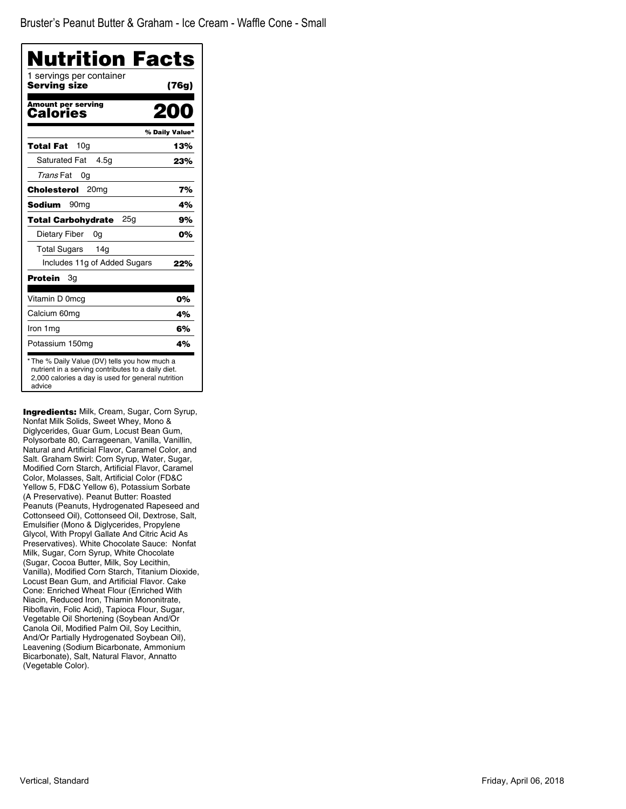| Nutrition Facts<br>1 servings per container |                |
|---------------------------------------------|----------------|
| Serving size                                | (76g)          |
| <b>Amount per serving</b><br>Calories       |                |
|                                             | % Daily Value* |
| 10 <sub>q</sub><br>Total Fat                | 13%            |
| <b>Saturated Fat</b><br>4.5g                | 23%            |
| Trans Fat<br>0g                             |                |
| Cholesterol<br>20 <sub>mq</sub>             | 7%             |
| Sodium<br>90 <sub>mq</sub>                  | 4%             |
| 25a<br><b>Total Carbohydrate</b>            | 9%             |
| Dietary Fiber<br>0g                         | 0%             |
| <b>Total Sugars</b><br>14 <sub>g</sub>      |                |
| Includes 11g of Added Sugars                | 22%            |
| Protein<br>Зg                               |                |
| Vitamin D 0mcq                              | 0%             |
| Calcium 60mg                                | 4%             |
| Iron 1mg                                    | 6%             |
| Potassium 150mg                             | 4%             |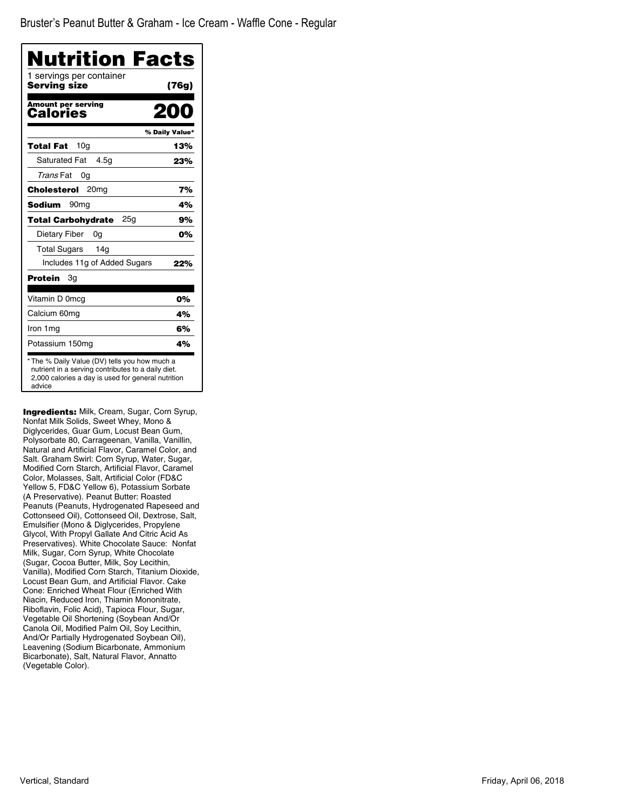| Nutrition Facts<br>1 servings per container |                |
|---------------------------------------------|----------------|
| Serving size                                | (76g)          |
| <b>Amount per serving</b><br>Calories       |                |
|                                             | % Daily Value* |
| 10 <sub>g</sub><br>Total Fat                | 13%            |
| <b>Saturated Fat</b><br>4.5g                | 23%            |
| Trans Fat<br>0g                             |                |
| Cholesterol<br>20 <sub>mq</sub>             | 7%             |
| Sodium<br>90 <sub>mq</sub>                  | 4%             |
| 25a<br><b>Total Carbohydrate</b>            | 9%             |
| Dietary Fiber<br>0a                         | 0%             |
| <b>Total Sugars</b><br>14 <sub>q</sub>      |                |
| Includes 11g of Added Sugars                | 22%            |
| Protein<br>Зg                               |                |
| Vitamin D 0mcg                              | 0%             |
| Calcium 60mg                                | 4%             |
| Iron 1mg                                    | 6%             |
| Potassium 150mg                             | 4%             |